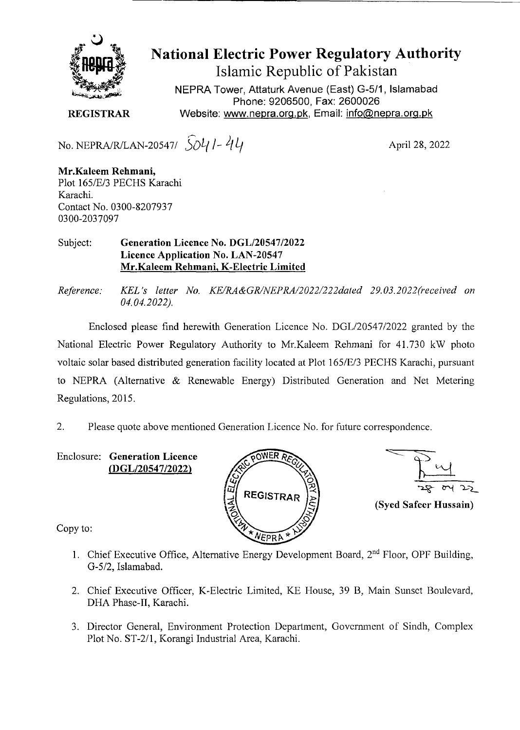

## **National Electric Power Regulatory Authority**

**Islamic Republic of Pakistan** 

NEPRA Tower, Attaturk Avenue (East) G-511, Islamabad Phone: 9206500, Fax: 2600026 **REGISTRAR** Website: www.nepra.org.pk, Email: info@nepra.org.pk

No. NEPRA/R/LAN-20547/  $5041 - 44$ 

April 28, 2022

**Mr.Kaleem Rehmani,**  Plot 165/E/3 PECHS Karachi Karachi. Contact No. 0300-8207937 0300-2037097

Subject: **Generation Licence No. DGL/20547/2022 Licence Application No. LAN-20547 Mr.Kaleem Rehmani, K-Electric Limited** 

*Reference: KEL 's letter No. KE/IM&GRINEPRA/2022/222da1ed 29.03. 2022(received on 04.04.2022).* 

Enclosed please find herewith Generation Licence No. DGL/20547/2022 granted by the National Electric Power Regulatory Authority to Mr.Kaleem Rehmani for 41.730 kW photo voltaic solar based distributed generation facility located at Plot 1 *65/E13* PECHS Karachi, pursuant to NEPRA (Alternative & Renewable Energy) Distributed Generation and Net Metering Regulations, 2015.

2. Please quote above mentioned Generation Licence No. for future correspondence.

Enclosure: **Generation Licence**  *(DGL12054712022)* 





Copy to:

- 1. Chief Executive Office, Alternative Energy Development Board, 2<sup>nd</sup> Floor, OPF Building, G-5/2, Islamabad.
- 2. Chief Executive Officer, K-Electric Limited, KE House, 39 B, Main Sunset Boulevard, DHA Phase-IT, Karachi.
- 3. Director General, Environment Protection Department, Government of Sindh, Complex Plot No. ST-2/1, Korangi Industrial Area, Karachi.